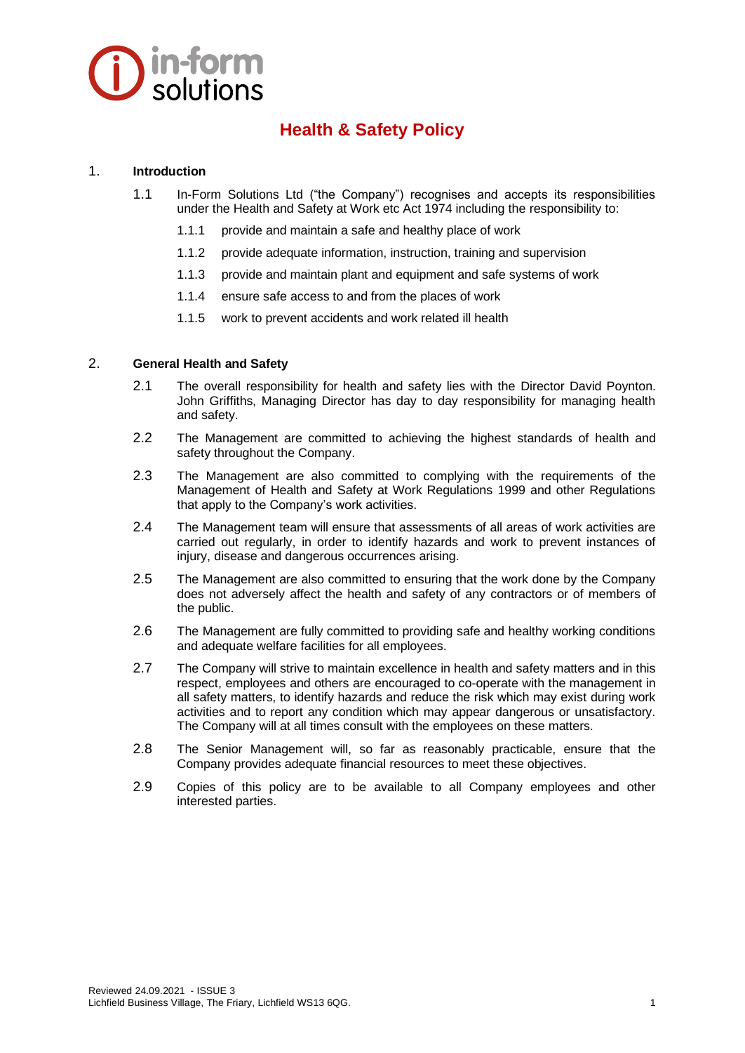# **D** in-form

## **Health & Safety Policy**

#### 1. **Introduction**

- 1.1 In-Form Solutions Ltd ("the Company") recognises and accepts its responsibilities under the Health and Safety at Work etc Act 1974 including the responsibility to:
	- 1.1.1 provide and maintain a safe and healthy place of work
	- 1.1.2 provide adequate information, instruction, training and supervision
	- 1.1.3 provide and maintain plant and equipment and safe systems of work
	- 1.1.4 ensure safe access to and from the places of work
	- 1.1.5 work to prevent accidents and work related ill health

#### 2. **General Health and Safety**

- 2.1 The overall responsibility for health and safety lies with the Director David Poynton. John Griffiths, Managing Director has day to day responsibility for managing health and safety.
- 2.2 The Management are committed to achieving the highest standards of health and safety throughout the Company.
- 2.3 The Management are also committed to complying with the requirements of the Management of Health and Safety at Work Regulations 1999 and other Regulations that apply to the Company's work activities.
- 2.4 The Management team will ensure that assessments of all areas of work activities are carried out regularly, in order to identify hazards and work to prevent instances of injury, disease and dangerous occurrences arising.
- 2.5 The Management are also committed to ensuring that the work done by the Company does not adversely affect the health and safety of any contractors or of members of the public.
- 2.6 The Management are fully committed to providing safe and healthy working conditions and adequate welfare facilities for all employees.
- 2.7 The Company will strive to maintain excellence in health and safety matters and in this respect, employees and others are encouraged to co-operate with the management in all safety matters, to identify hazards and reduce the risk which may exist during work activities and to report any condition which may appear dangerous or unsatisfactory. The Company will at all times consult with the employees on these matters.
- 2.8 The Senior Management will, so far as reasonably practicable, ensure that the Company provides adequate financial resources to meet these objectives.
- 2.9 Copies of this policy are to be available to all Company employees and other interested parties.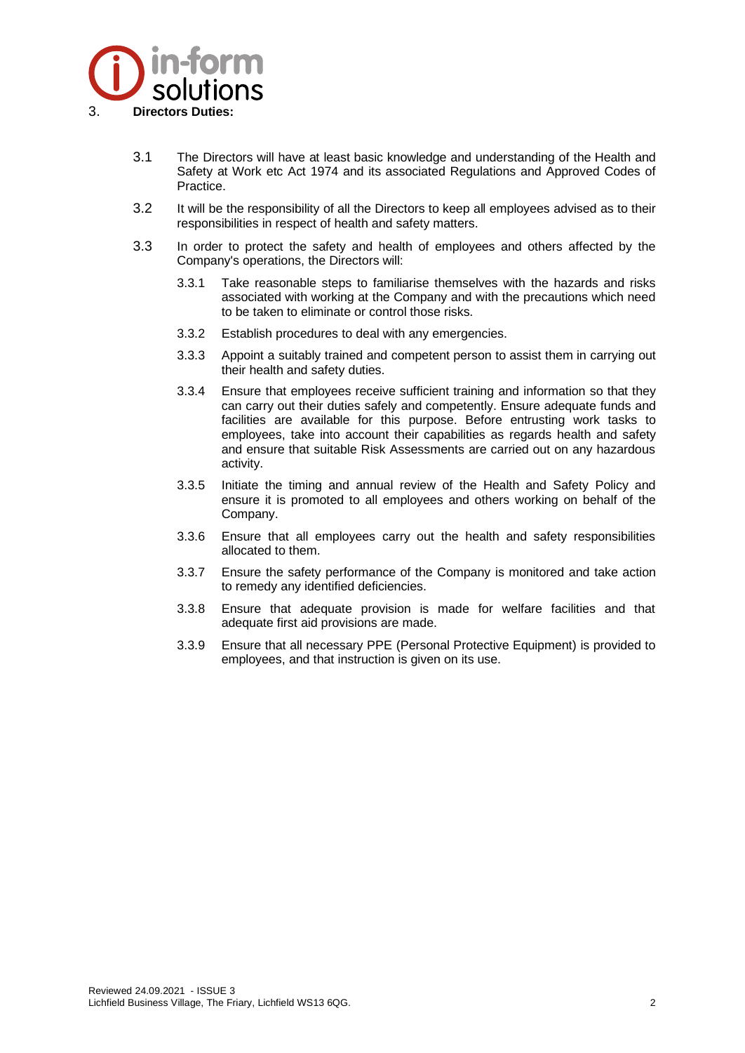

- 3.1 The Directors will have at least basic knowledge and understanding of the Health and Safety at Work etc Act 1974 and its associated Regulations and Approved Codes of Practice.
- 3.2 It will be the responsibility of all the Directors to keep all employees advised as to their responsibilities in respect of health and safety matters.
- 3.3 In order to protect the safety and health of employees and others affected by the Company's operations, the Directors will:
	- 3.3.1 Take reasonable steps to familiarise themselves with the hazards and risks associated with working at the Company and with the precautions which need to be taken to eliminate or control those risks.
	- 3.3.2 Establish procedures to deal with any emergencies.
	- 3.3.3 Appoint a suitably trained and competent person to assist them in carrying out their health and safety duties.
	- 3.3.4 Ensure that employees receive sufficient training and information so that they can carry out their duties safely and competently. Ensure adequate funds and facilities are available for this purpose. Before entrusting work tasks to employees, take into account their capabilities as regards health and safety and ensure that suitable Risk Assessments are carried out on any hazardous activity.
	- 3.3.5 Initiate the timing and annual review of the Health and Safety Policy and ensure it is promoted to all employees and others working on behalf of the Company.
	- 3.3.6 Ensure that all employees carry out the health and safety responsibilities allocated to them.
	- 3.3.7 Ensure the safety performance of the Company is monitored and take action to remedy any identified deficiencies.
	- 3.3.8 Ensure that adequate provision is made for welfare facilities and that adequate first aid provisions are made.
	- 3.3.9 Ensure that all necessary PPE (Personal Protective Equipment) is provided to employees, and that instruction is given on its use.